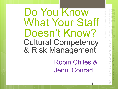# Do You Know **What Your Staff** Doesn't Know? **Cultural Competency** & Risk Management **Robin Chiles &**

Jenni Conrad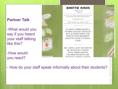#### **Partner Talk**

-What would you say if you heard your staff talking like this?

-How would you react?



- How do your staff speak informally about their students?

#### **GHETTO HIKES**

Follow 437K followers I Like 40k

I'M 28. I HAVE A FULL TIME JOB LEADING URBAN KIDS (OF ALL RACES) ON NATURE HIKES, I SIMPLY WRITE DOWN SHIT THEY SAY.

GHETTOHIKES@GMAIL.COM

ARCHIVE RANDOM RSS SEARCH TWITTER

 $22ND$  FEB  $2012 | 485$  NOTES

E.J. BACK THERE HAVIN A STARIN CONTEST WITH DA SUN, SLOWIN DOWN THE WHOLE PACK HOMEBOY SHOULDA GONE TO SPACE CAMP.

MR. CODY, I AINT NO SNITCH OR NUFFIN BUT DENNY **BACK THERE SHOVIN** COLORED ROCKS IN HIS POCKETS HOMIE I OOTIN

**AST FEB 2012 | 644 NOTES** 

FUG<sub></sub>  $\overline{\omega}$ **UthOr** 

Sign up for Tum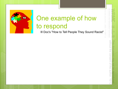

# One example of how to respond

III Doc's "How to Tell People They Sound Racist"

**BUD** 

consent of

**OUI**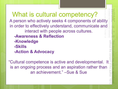What is cultural competency? A person who actively seeks 4 components of ability in order to effectively understand, communicate and interact with people across cultures. **-Awareness & Reflection** -Knowledge **-Skills -Action & Advocacy** 

"Cultural competence is active and developmental. It is an ongoing process and an aspiration rather than an achievement." -Sue & Sue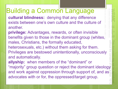#### **Building a Common Language**

cultural blindness: denying that any difference exists between one's own culture and the culture of another.

privilege: Advantages, rewards, or often invisible benefits given to those in the dominant group (whites, males, Christians, the formally educated, heterosexuals, etc.) without them asking for them. Privileges are bestowed unintentionally, unconsciously and automatically. allyship: when members of the "dominant" or "majority" group question or reject the dominant ideology and work against oppression through support of, and as advocates with or for, the oppressed/target group.

without the consent of the author. 10/12 This document may not be reproduced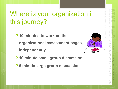# Where is your organization in this journey?

**o** 10 minutes to work on the

organizational assessment pages,

independently



- o 10 minute small group discussion
- **o** 5 minute large group discussion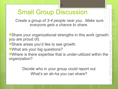#### **Small Group Discussion**

*Create a group of 3-4 people near you. Make sure* everyone gets a chance to share.

>

**OShare your organizational strengths in this work (growth** you are proud of).

**OShare areas you'd like to see growth.** 

**OWhat are your big questions?** 

**O**Where is there expertise that is under-utilized within the organization?

> Decide who in your group could report out. What's an ah-ha you can share?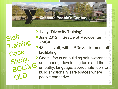

**IStaff** Training Case Study:

<sup>o</sup> 1 day "Diversity Training"

- **o** June 2012 in Seattle at Metrocenter **YMCA**
- 43 field staff, with 2 PDs & 1 former staff facilitating
- **O** Goals: focus on building self-awareness and sharing, developing tools and the empathy, language, appropriate tools to build emotionally safe spaces where people can thrive.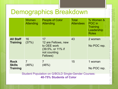#### Demographics Breakdown

|                                                                                        | Women<br><b>Attending</b> | <b>People of Color</b><br><b>Attending</b>                                                | <b>Total</b><br><b>Attendees</b> | % Women &<br>POC in<br>Training<br>Leadership<br><b>Roles</b> |
|----------------------------------------------------------------------------------------|---------------------------|-------------------------------------------------------------------------------------------|----------------------------------|---------------------------------------------------------------|
| <b>All Staff</b><br><b>Training</b>                                                    | 16<br>(37%)               | 17<br>12 are Fellows, new<br>to OEE work<br>(39.5%, or 11% if<br>not counting<br>Fellows) | 43                               | 2 women<br>No POC rep.                                        |
| <b>Rock</b><br><b>Skills</b><br><b>Training</b>                                        | $\overline{7}$<br>(46%)   | $\overline{7}$<br>(46%)                                                                   | 15                               | 1 woman<br>No POC rep.                                        |
| <b>Student Population on G/BOLD Single-Gender Courses:</b><br>40-75% Students of Color |                           |                                                                                           |                                  |                                                               |

**40-75% Students of Color** 

without the consent of the author. 10/12 This document may not be reproduced

ocument may not be reproduce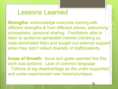#### **Lessons Learned**

**Strengths: acknowledge everyone coming with** different strengths & from different places, welcoming atmosphere, personal sharing. Facilitators able to listen to audience-generated interest (climbing as male-dominated field) and sought out external supports when they didn't reflect diversity of staff/students.

Areas of Growth: focus and goals seemed like this work was optional. Lack of common language . Fellows at big disadvantage as the under-supported<sup>®</sup> and under-experienced new hires/volunteers.

**USG**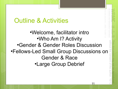#### **Outline & Activities**

• Welcome, facilitator intro •Who Am I? Activity •Gender & Gender Roles Discussion •Fellows-Led Small Group Discussions on **Gender & Race .Large Group Debrief**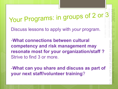#### Your Programs: in groups o f 2 or 3

Discuss lessons to apply with your program.

-What connections between cultural **competency and risk management may** resonate most for your organization/staff? Strive to find 3 or more.

**-What can you share and discuss as part of your next staff/volunteer training?**